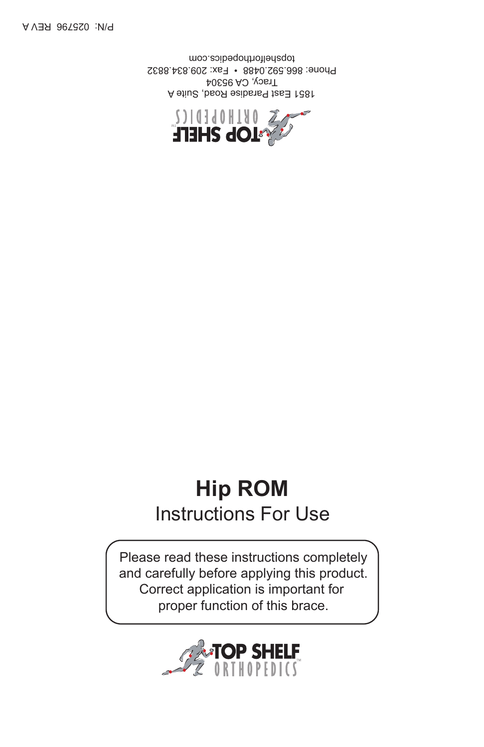

# **Hip ROM** Instructions For Use

Please read these instructions completely and carefully before applying this product. Correct application is important for proper function of this brace.



1851 East Paradise Road, Suite A Tracy, CA 95304 Phone: 866.592.0488 • Fax: 209.834.8832 topshelforthopedics.com